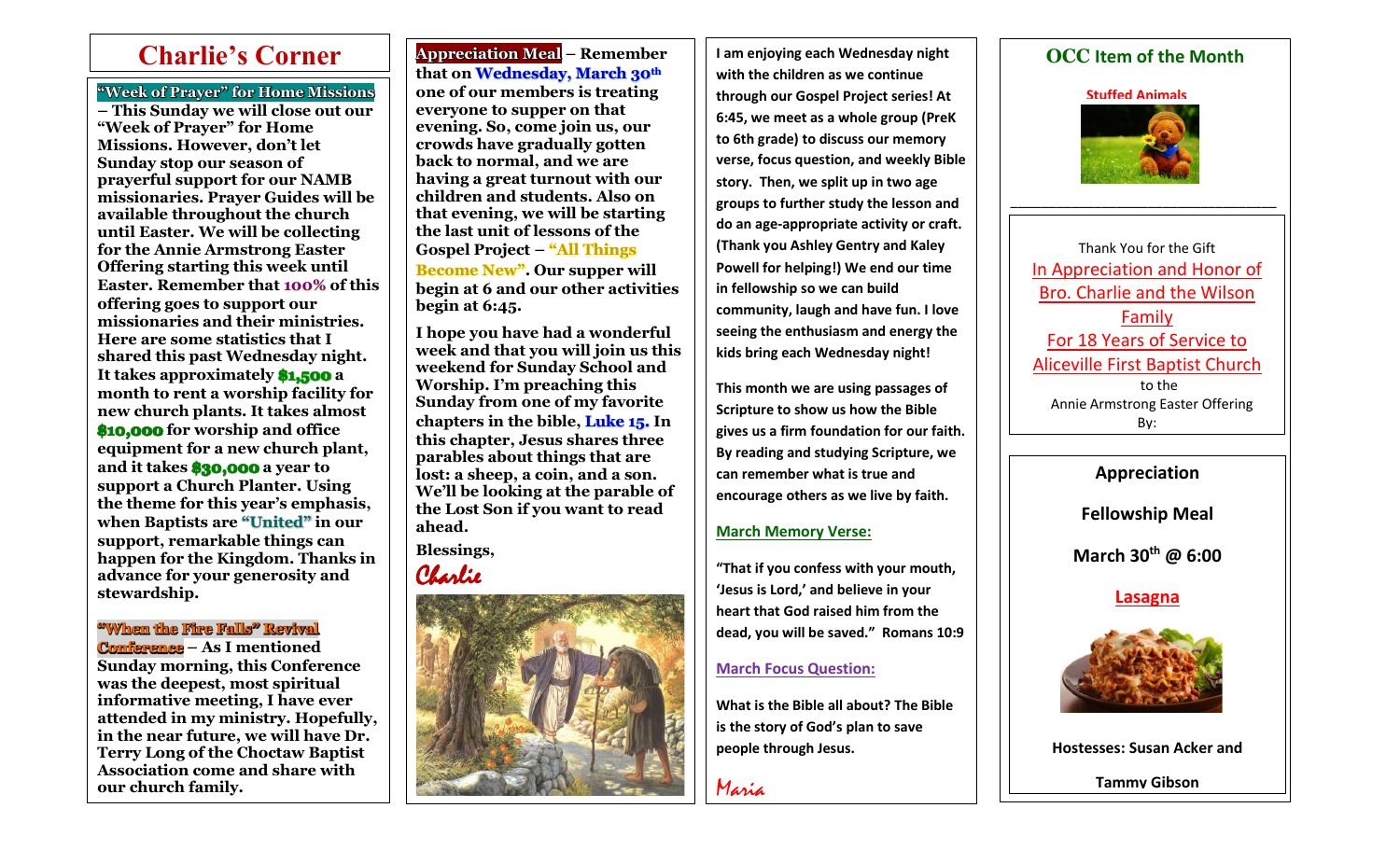**"Week of Prayer" for Home Missions**

 $\overline{\phantom{a}}$ 

**– This Sunday we will close out our "Week of Prayer" for Home Missions. However, don't let Sunday stop our season of prayerful support for our NAMB missionaries. Prayer Guides will be available throughout the church until Easter. We will be collecting for the Annie Armstrong Easter Offering starting this week until Easter. Remember that 100% of this offering goes to support our missionaries and their ministries. Here are some statistics that I shared this past Wednesday night. It takes approximately \$1,500 a month to rent a worship facility for new church plants. It takes almost \$10,000 for worship and office equipment for a new church plant, and it takes \$30,000 a year to support a Church Planter. Using the theme for this year's emphasis, when Baptists are "United" in our support, remarkable things can happen for the Kingdom. Thanks in advance for your generosity and stewardship.**

**"When the Fire Falls" Revival Conference – As I mentioned** 

**Sunday morning, this Conference was the deepest, most spiritual informative meeting, I have ever attended in my ministry. Hopefully, in the near future, we will have Dr. Terry Long of the Choctaw Baptist Association come and share with our church family.** 

**Charlie's Corner** | Appreciation Meal – Remember | | I am enjoying each Wednesday night | | | | | | | OCC Item of the Month **Appreciation Meal – Remember that on Wednesday, March 30th one of our members is treating everyone to supper on that evening. So, come join us, our crowds have gradually gotten back to normal, and we are having a great turnout with our children and students. Also on that evening, we will be starting the last unit of lessons of the Gospel Project – "All Things Become New". Our supper will** 

**begin at 6 and our other activities begin at 6:45.** 

**I hope you have had a wonderful week and that you will join us this weekend for Sunday School and Worship. I'm preaching this Sunday from one of my favorite chapters in the bible, Luke 15. In this chapter, Jesus shares three parables about things that are lost: a sheep, a coin, and a son. We'll be looking at the parable of the Lost Son if you want to read ahead.** 

**Blessings,** Charlie



**I am enjoying each Wednesday night with the children as we continue through our Gospel Project series! At 6:45, we meet as a whole group (PreK to 6th grade) to discuss our memory verse, focus question, and weekly Bible story. Then, we split up in two age groups to further study the lesson and do an age-appropriate activity or craft. (Thank you Ashley Gentry and Kaley Powell for helping!) We end our time in fellowship so we can build community, laugh and have fun. I love seeing the enthusiasm and energy the kids bring each Wednesday night!** 

**This month we are using passages of Scripture to show us how the Bible gives us a firm foundation for our faith. By reading and studying Scripture, we can remember what is true and encourage others as we live by faith.** 

## **March Memory Verse:**

**"That if you confess with your mouth, 'Jesus is Lord,' and believe in your heart that God raised him from the dead, you will be saved." Romans 10:9**

## **March Focus Question:**

**What is the Bible all about? The Bible is the story of God's plan to save people through Jesus.** 

Maria





\_\_\_\_\_\_\_\_\_\_\_\_\_\_\_\_\_\_\_\_\_\_\_\_\_\_\_\_\_\_\_\_\_\_\_

Thank You for the Gift In Appreciation and Honor of Bro. Charlie and the Wilson Family For 18 Years of Service to Aliceville First Baptist Church to the Annie Armstrong Easter Offering By:

**Appreciation**

**Fellowship Meal**

**March 30th @ 6:00**

**Lasagna**



**Hostesses: Susan Acker and** 

**Tammy Gibson**